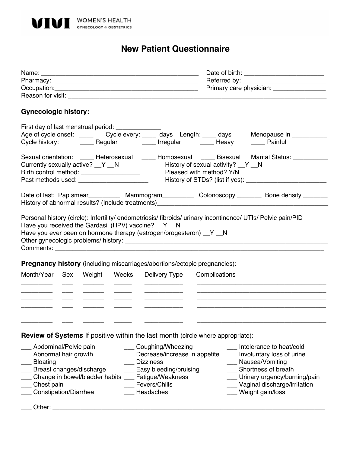

## **New Patient Questionnaire**

|                                                                                       |     |                          |       | Reason for visit: New York Changes and Changes and Changes and Changes and Changes and Changes and Changes and                                                                                                                                                                                                     |                          |                                                                                                                       |  |
|---------------------------------------------------------------------------------------|-----|--------------------------|-------|--------------------------------------------------------------------------------------------------------------------------------------------------------------------------------------------------------------------------------------------------------------------------------------------------------------------|--------------------------|-----------------------------------------------------------------------------------------------------------------------|--|
| <b>Gynecologic history:</b>                                                           |     |                          |       |                                                                                                                                                                                                                                                                                                                    |                          |                                                                                                                       |  |
| First day of last menstrual period: _______________                                   |     |                          |       |                                                                                                                                                                                                                                                                                                                    |                          |                                                                                                                       |  |
|                                                                                       |     |                          |       | Age of cycle onset: ______ Cycle every: _____ days Length: ____ days                                                                                                                                                                                                                                               |                          | Menopause in ___________                                                                                              |  |
|                                                                                       |     |                          |       | Cycle history: ________ Regular ________ Irregular _______ Heavy                                                                                                                                                                                                                                                   |                          | Painful                                                                                                               |  |
|                                                                                       |     |                          |       |                                                                                                                                                                                                                                                                                                                    |                          | Sexual orientation: _____ Heterosexual _____ Homosexual _____ Bisexual Marital Status: ___________                    |  |
| Currently sexually active? _Y _N                                                      |     |                          |       | History of sexual activity? __ Y __ N                                                                                                                                                                                                                                                                              |                          |                                                                                                                       |  |
| Birth control method: _______________________                                         |     |                          |       |                                                                                                                                                                                                                                                                                                                    | Pleased with method? Y/N |                                                                                                                       |  |
|                                                                                       |     |                          |       |                                                                                                                                                                                                                                                                                                                    |                          |                                                                                                                       |  |
|                                                                                       |     |                          |       |                                                                                                                                                                                                                                                                                                                    |                          | Date of last: Pap smear____________ Mammogram_____________ Colonoscopy _________ Bone density ________                |  |
|                                                                                       |     |                          |       |                                                                                                                                                                                                                                                                                                                    |                          |                                                                                                                       |  |
|                                                                                       |     |                          |       | Comments: Comments: Comments: Comments: Comments: Comments: Comments: Comments: Comments: Comments: Comments: Comments: Comments: Comments: Comments: Comments: Comments: Comments: Comments: Comments: Comments: Comments: Co<br><b>Pregnancy history</b> (including miscarriages/abortions/ectopic pregnancies): |                          |                                                                                                                       |  |
| Month/Year                                                                            | Sex | Weight                   | Weeks | <b>Delivery Type</b>                                                                                                                                                                                                                                                                                               | Complications            |                                                                                                                       |  |
|                                                                                       |     |                          |       |                                                                                                                                                                                                                                                                                                                    |                          | <u> 1989 - Johann Stoff, deutscher Stoff, der Stoff, der Stoff, der Stoff, der Stoff, der Stoff, der Stoff, der S</u> |  |
|                                                                                       |     |                          |       |                                                                                                                                                                                                                                                                                                                    |                          |                                                                                                                       |  |
|                                                                                       |     |                          |       |                                                                                                                                                                                                                                                                                                                    |                          |                                                                                                                       |  |
|                                                                                       |     |                          |       | <b>Review of Systems If positive within the last month (circle where appropriate):</b>                                                                                                                                                                                                                             |                          |                                                                                                                       |  |
| Abdominal/Pelvic pain                                                                 |     |                          |       | ___ Coughing/Wheezing                                                                                                                                                                                                                                                                                              |                          | Intolerance to heat/cold                                                                                              |  |
| Abnormal hair growth<br>Decrease/increase in appetite<br>__ Involuntary loss of urine |     |                          |       |                                                                                                                                                                                                                                                                                                                    |                          |                                                                                                                       |  |
| <b>Bloating</b>                                                                       |     |                          |       | <b>Dizziness</b>                                                                                                                                                                                                                                                                                                   |                          | Nausea/Vomiting                                                                                                       |  |
|                                                                                       |     | Breast changes/discharge |       | Easy bleeding/bruising                                                                                                                                                                                                                                                                                             |                          | Shortness of breath                                                                                                   |  |
|                                                                                       |     |                          |       | Change in bowel/bladder habits ___ Fatigue/Weakness                                                                                                                                                                                                                                                                |                          | Urinary urgency/burning/pain                                                                                          |  |
| Chest pain                                                                            |     |                          |       | Fevers/Chills                                                                                                                                                                                                                                                                                                      |                          | __ Vaginal discharge/irritation                                                                                       |  |
| Constipation/Diarrhea                                                                 |     |                          |       | Headaches                                                                                                                                                                                                                                                                                                          |                          | Weight gain/loss                                                                                                      |  |
| Other:                                                                                |     |                          |       |                                                                                                                                                                                                                                                                                                                    |                          |                                                                                                                       |  |